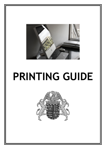

# **PRINTING GUIDE**

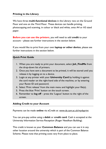## **Printing in the Library**

We have three **multi-functional devices** in the Library: two on the Ground Floor and one on the Third Floor. These devices can handle printing, photocopying and scanning, in colour or black and white, onto A4 or A3 sized paper.

**Before you can use the printers**, you will need to add **credit** to your account – please see further instructions in the section below.

If you would like to print from your own **laptop or other device**, please see further instructions in the section below.

## **Quick Print Guide**

- 1. When you are ready to print your document, select **Joh\_FindMe** from the drop-down list of printers.
- 2. Once you have sent a document to be printed, it will be stored until you release it by logging on to a device.
- 3. Login at any printer with your **University Card** by holding it against the card reader on the right-hand side of the machine, or by entering your Raven ID and password.
- 4. Select 'Print release' from the main menu and highlight your file(s).
- 5. Press the blue 'Print' button on the touch screen.
- 6. Remember to **log off** press the 'Logout' button to the right of the screen.

## **Adding Credit to your Account**

Payments can be made **online** via eCredit at: www[.ds.cam.ac.uk/](https://ecredit.ds.cam.ac.uk/)mydsprint

You can pre-pay online using a **debit** or **credit card**. Cash is accepted at the University Information Service Reception (Roger Needham Building).

This credit is known as your **Common Balance** and you can use it in any other location around the university which is part of the Common Balance Scheme. Please note that printing costs vary from place to place.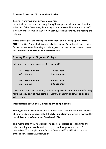## **Printing from your Own Laptop/Device**

To print from your own device, please visit

https://help.uis.cam.ac.uk/service/printing/desktop, and select instructions for either macOS or Windows, depending on your device. The set-up for macOS is notably more complex than for Windows, so make sure you are reading the right one.

Please ensure you are reading the instructions about setting up **DS-Print**, **NOT** Mobility Print, which is not available at St John's College. If you require further assistance with setting up printing on your own device, please contact the **University Information Service (UIS)**.

## **Printing Charges at St John's College**

Below are the printing costs as of October 2021.

| A4 - Black & White | 3 <sub>p</sub> per sheet |
|--------------------|--------------------------|
| $A4 -$ Colour      | 25p per sheet            |
|                    |                          |
| A3 - Black & White | 6p per sheet             |
|                    |                          |

Charges are per sheet of paper, so by printing double-sided you can effectively halve the total cost of your print job. Library printers will default to doublesided printing.

## **Information about the University Printing Service**

Printing is not managed by St John's College staff – the printers here are part of a university-wide system called the **DS-Print Service**, which is managed by the **University Information Service (UIS)**.

This means that if you're experiencing problems related to logging into the printers, using your credit, and so on, you need to speak with the UIS themselves. You can phone the Service Desk at 01223 332999 or send an email to servicedesk@uis.cam.ac.uk